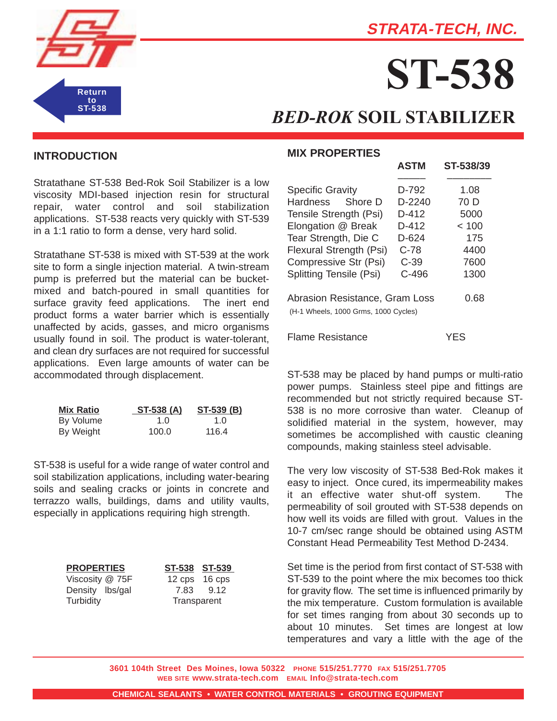



# **ST-538**

**ASTM ST-538/39**

## *BED-ROK* **SOIL STABILIZER**

#### **INTRODUCTION**

Stratathane ST-538 Bed-Rok Soil Stabilizer is a low viscosity MDI-based injection resin for structural repair, water control and soil stabilization applications. ST-538 reacts very quickly with ST-539 in a 1:1 ratio to form a dense, very hard solid.

Stratathane ST-538 is mixed with ST-539 at the work site to form a single injection material. A twin-stream pump is preferred but the material can be bucketmixed and batch-poured in small quantities for surface gravity feed applications. The inert end product forms a water barrier which is essentially unaffected by acids, gasses, and micro organisms usually found in soil. The product is water-tolerant, and clean dry surfaces are not required for successful applications. Even large amounts of water can be accommodated through displacement.

| <b>Mix Ratio</b> | ST-538 (A) | ST-539 (B)  |
|------------------|------------|-------------|
| By Volume        | 1.0        | 1. $\Omega$ |
| By Weight        | 100.0      | 116.4       |

ST-538 is useful for a wide range of water control and soil stabilization applications, including water-bearing soils and sealing cracks or joints in concrete and terrazzo walls, buildings, dams and utility vaults, especially in applications requiring high strength.

| <b>PROPERTIES</b> |  |  |  |  |
|-------------------|--|--|--|--|
| Viscosity @ 75F   |  |  |  |  |
| Density Ibs/gal   |  |  |  |  |
| Turbidity         |  |  |  |  |

**PROPERTIES ST-538 ST-539**  $12$  cps  $16$  cps 7.83 9.12 Transparent

#### **MIX PROPERTIES**

| <b>Specific Gravity</b>                                                | D-792   | 1.08  |
|------------------------------------------------------------------------|---------|-------|
| Hardness Shore D                                                       | D-2240  | 70 D  |
| Tensile Strength (Psi)                                                 | $D-412$ | 5000  |
| Elongation @ Break                                                     | D-412   | < 100 |
| Tear Strength, Die C                                                   | D-624   | 175   |
| Flexural Strength (Psi)                                                | C-78    | 4400  |
| Compressive Str (Psi)                                                  | $C-39$  | 7600  |
| <b>Splitting Tensile (Psi)</b>                                         | $C-496$ | 1300  |
| Abrasion Resistance, Gram Loss<br>(H-1 Wheels, 1000 Grms, 1000 Cycles) |         | 0.68  |
| Flame Resistance                                                       |         | YES   |

ST-538 may be placed by hand pumps or multi-ratio power pumps. Stainless steel pipe and fittings are recommended but not strictly required because ST-538 is no more corrosive than water. Cleanup of solidified material in the system, however, may sometimes be accomplished with caustic cleaning compounds, making stainless steel advisable.

The very low viscosity of ST-538 Bed-Rok makes it easy to inject. Once cured, its impermeability makes it an effective water shut-off system. The permeability of soil grouted with ST-538 depends on how well its voids are filled with grout. Values in the 10-7 cm/sec range should be obtained using ASTM Constant Head Permeability Test Method D-2434.

Set time is the period from first contact of ST-538 with ST-539 to the point where the mix becomes too thick for gravity flow. The set time is influenced primarily by the mix temperature. Custom formulation is available for set times ranging from about 30 seconds up to about 10 minutes. Set times are longest at low temperatures and vary a little with the age of the

**3601 104th Street Des Moines, Iowa 50322 PHONE 515/251.7770 FAX 515/251.7705 WEB SITE www.strata-tech.com EMAIL Info@strata-tech.com**